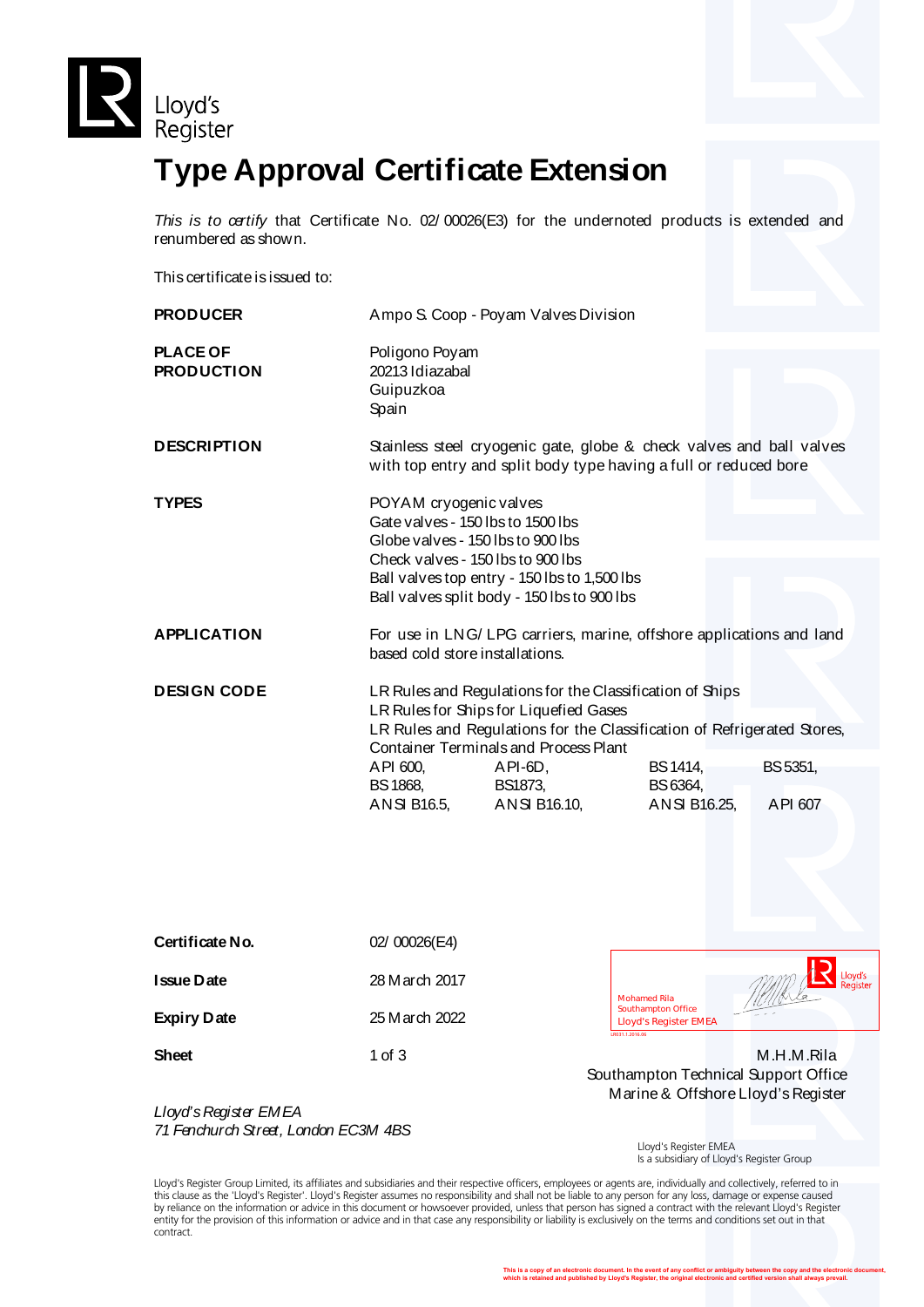



*This is to certify* that Certificate No. 02/ 00026(E3) for the undernoted products is extended and renumbered as shown.

This certificate is issued to:

| <b>PRODUCER</b>                      |                                                                                                                                                                                                                               | Ampo S. Coop - Poyam Valves Division                                                        |                 |          |
|--------------------------------------|-------------------------------------------------------------------------------------------------------------------------------------------------------------------------------------------------------------------------------|---------------------------------------------------------------------------------------------|-----------------|----------|
| <b>PLACE OF</b><br><b>PRODUCTION</b> | Poligono Poyam<br>20213 Idiazabal<br>Guipuzkoa<br>Spain                                                                                                                                                                       |                                                                                             |                 |          |
| <b>DESCRIPTION</b>                   | Stainless steel cryogenic gate, globe & check valves and ball valves<br>with top entry and split body type having a full or reduced bore                                                                                      |                                                                                             |                 |          |
| <b>TYPES</b>                         | POYAM cryogenic valves<br>Gate valves - 150 lbs to 1500 lbs<br>Globe valves - 150 lbs to 900 lbs<br>Check valves - 150 lbs to 900 lbs                                                                                         | Ball valves top entry - 150 lbs to 1,500 lbs<br>Ball valves split body - 150 lbs to 900 lbs |                 |          |
| <b>APPLICATION</b>                   | For use in LNG/ LPG carriers, marine, offshore applications and land<br>based cold store installations.                                                                                                                       |                                                                                             |                 |          |
| <b>DESIGN CODE</b>                   | LR Rules and Regulations for the Classification of Ships<br>LR Rules for Ships for Liquefied Gases<br>LR Rules and Regulations for the Classification of Refrigerated Stores,<br><b>Container Terminals and Process Plant</b> |                                                                                             |                 |          |
|                                      | API 600,                                                                                                                                                                                                                      | API-6D,                                                                                     | <b>BS</b> 1414, | BS 5351, |
|                                      | <b>BS 1868,</b>                                                                                                                                                                                                               | BS1873,                                                                                     | BS 6364,        |          |
|                                      |                                                                                                                                                                                                                               | ANSI B16.5, ANSI B16.10,                                                                    | ANSI B16.25,    | API 607  |
|                                      |                                                                                                                                                                                                                               |                                                                                             |                 |          |

| Certificate No.    | 02/00026(E4)   |                                                           |
|--------------------|----------------|-----------------------------------------------------------|
| <b>Issue Date</b>  | 28 March 2017  | Lloyd's<br>Register<br><b>Mohamed Rila</b>                |
| <b>Expiry Date</b> | 25 M arch 2022 | <b>Southampton Office</b><br><b>Lloyd's Register EMEA</b> |
|                    |                | LR031.1.2016.06                                           |
| <b>Sheet</b>       | 1 of $3$       | M.H.M.Rila                                                |
|                    |                | Southampton Technical Support Office                      |

*Lloyd's Register EMEA 71 Fenchurch Street, London EC3M 4BS*

Lloyd's Register EMEA

Marine & Offshore Lloyd's Register

Is a subsidiary of Lloyd's Register Group

Lloyd's Register Group Limited, its affiliates and subsidiaries and their respective officers, employees or agents are, individually and collectively, referred to in this clause as the 'Lloyd's Register'. Lloyd's Register assumes no responsibility and shall not be liable to any person for any loss, damage or expense caused<br>by reliance on the information or advice in this document or ho entity for the provision of this information or advice and in that case any responsibility or liability is exclusively on the terms and conditions set out in that contract.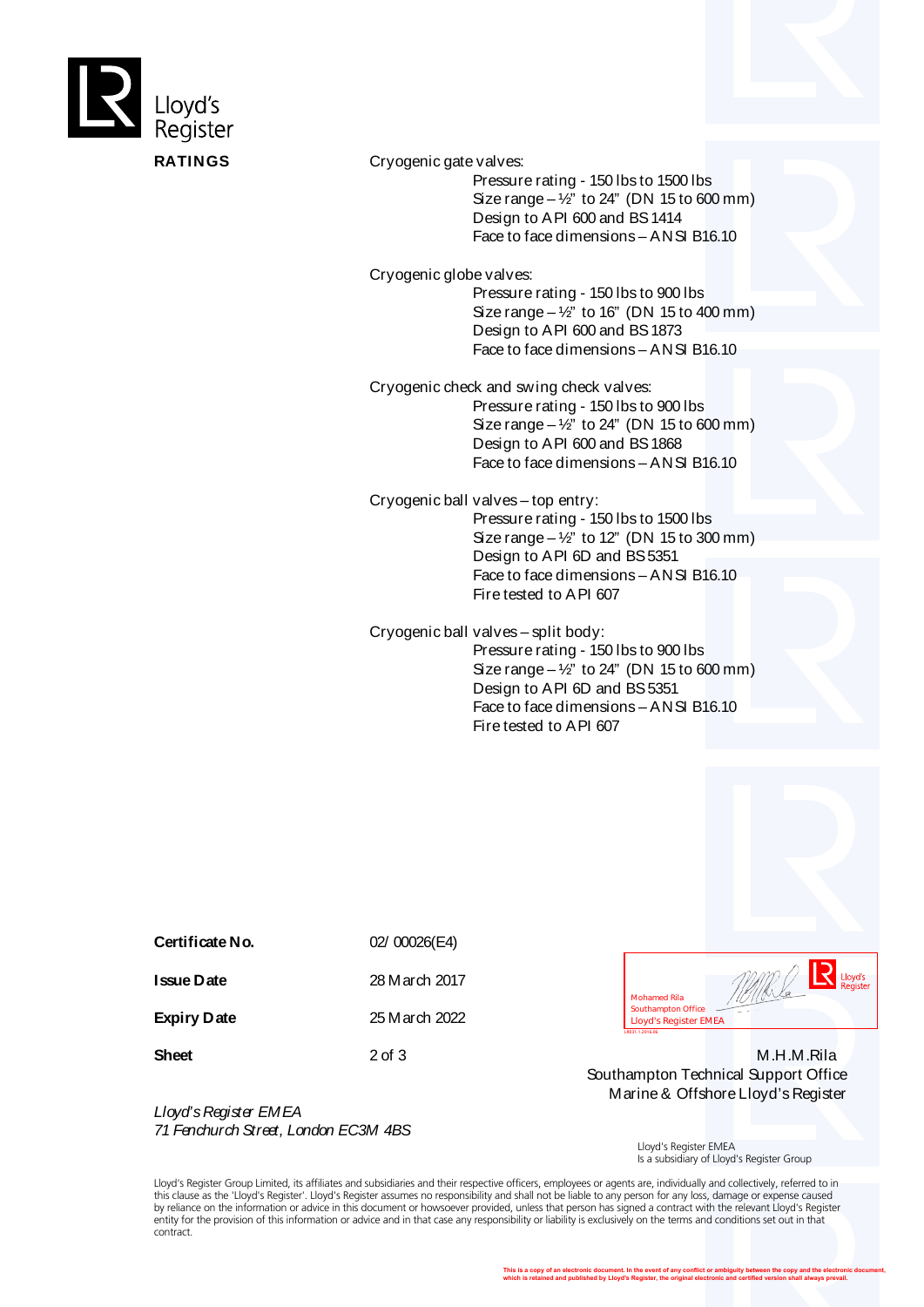

**RATINGS** Cryogenic gate valves:

 Pressure rating - 150 lbs to 1500 lbs Size range –  $\frac{1}{2}$ " to 24" (DN 15 to 600 mm) Design to API 600 and BS 1414 Face to face dimensions – ANSI B16.10

Cryogenic globe valves:

 Pressure rating - 150 lbs to 900 lbs Size range  $-\frac{1}{2}$ " to 16" (DN 15 to 400 mm) Design to API 600 and BS 1873 Face to face dimensions – ANSI B16.10

Cryogenic check and swing check valves:

 Pressure rating - 150 lbs to 900 lbs Size range  $-\frac{1}{2}$ " to 24" (DN 15 to 600 mm) Design to API 600 and BS 1868 Face to face dimensions – ANSI B16.10

Cryogenic ball valves – top entry:

 Pressure rating - 150 lbs to 1500 lbs Size range  $-\frac{1}{2}$ " to 12" (DN 15 to 300 mm) Design to API 6D and BS 5351 Face to face dimensions – ANSI B16.10 Fire tested to API 607

Cryogenic ball valves – split body: Pressure rating - 150 lbs to 900 lbs

Size range –  $\frac{1}{2}$ " to 24" (DN 15 to 600 mm) Design to API 6D and BS 5351 Face to face dimensions – ANSI B16.10 Fire tested to API 607

**Issue Date** 28 March 2017

**Certificate No.** 02/ 00026(E4)

**Expiry Date** 25 March 2022

*Lloyd's Register EMEA 71 Fenchurch Street, London EC3M 4BS*

Lloyd's Mohamed Rila<br>Southampton Office<br>Lloyd's Register EMEA

**Sheet** 2 of 3 M.H.M.Rila Southampton Technical Support Office Marine & Offshore Lloyd's Register

> Lloyd's Register EMEA Is a subsidiary of Lloyd's Register Group

Lloyd's Register Group Limited, its affiliates and subsidiaries and their respective officers, employees or agents are, individually and collectively, referred to in this clause as the 'Lloyd's Register'. Lloyd's Register assumes no responsibility and shall not be liable to any person for any loss, damage or expense caused<br>by reliance on the information or advice in this document or ho entity for the provision of this information or advice and in that case any responsibility or liability is exclusively on the terms and conditions set out in that contract.